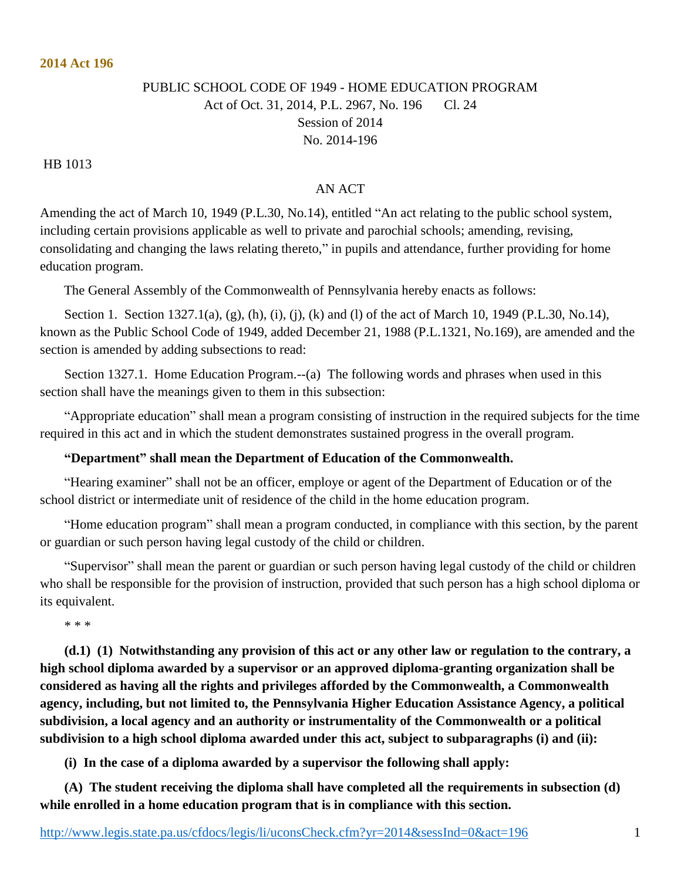## PUBLIC SCHOOL CODE OF 1949 - HOME EDUCATION PROGRAM Act of Oct. 31, 2014, P.L. 2967, No. 196 Cl. 24 Session of 2014 No. 2014-196

HB 1013

## AN ACT

Amending the act of March 10, 1949 (P.L.30, No.14), entitled "An act relating to the public school system, including certain provisions applicable as well to private and parochial schools; amending, revising, consolidating and changing the laws relating thereto," in pupils and attendance, further providing for home education program.

The General Assembly of the Commonwealth of Pennsylvania hereby enacts as follows:

Section 1. Section 1327.1(a), (g), (h), (i), (j), (k) and (l) of the act of March 10, 1949 (P.L.30, No.14), known as the Public School Code of 1949, added December 21, 1988 (P.L.1321, No.169), are amended and the section is amended by adding subsections to read:

Section 1327.1. Home Education Program.--(a) The following words and phrases when used in this section shall have the meanings given to them in this subsection:

"Appropriate education" shall mean a program consisting of instruction in the required subjects for the time required in this act and in which the student demonstrates sustained progress in the overall program.

## **"Department" shall mean the Department of Education of the Commonwealth.**

"Hearing examiner" shall not be an officer, employe or agent of the Department of Education or of the school district or intermediate unit of residence of the child in the home education program.

"Home education program" shall mean a program conducted, in compliance with this section, by the parent or guardian or such person having legal custody of the child or children.

"Supervisor" shall mean the parent or guardian or such person having legal custody of the child or children who shall be responsible for the provision of instruction, provided that such person has a high school diploma or its equivalent.

\* \* \*

**(d.1) (1) Notwithstanding any provision of this act or any other law or regulation to the contrary, a high school diploma awarded by a supervisor or an approved diploma-granting organization shall be considered as having all the rights and privileges afforded by the Commonwealth, a Commonwealth agency, including, but not limited to, the Pennsylvania Higher Education Assistance Agency, a political subdivision, a local agency and an authority or instrumentality of the Commonwealth or a political subdivision to a high school diploma awarded under this act, subject to subparagraphs (i) and (ii):**

**(i) In the case of a diploma awarded by a supervisor the following shall apply:**

**(A) The student receiving the diploma shall have completed all the requirements in subsection (d) while enrolled in a home education program that is in compliance with this section.**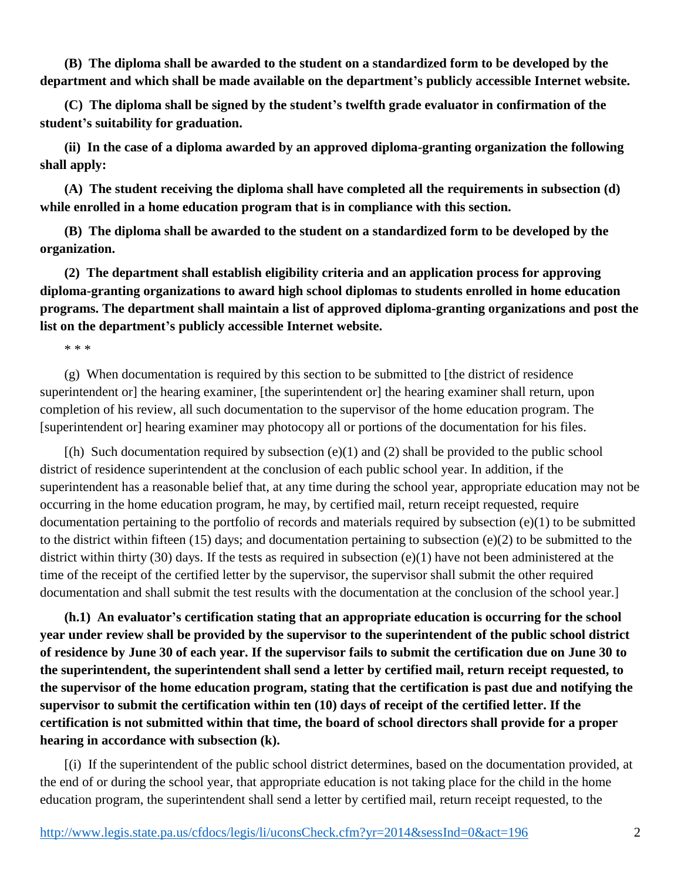**(B) The diploma shall be awarded to the student on a standardized form to be developed by the department and which shall be made available on the department's publicly accessible Internet website.**

**(C) The diploma shall be signed by the student's twelfth grade evaluator in confirmation of the student's suitability for graduation.**

**(ii) In the case of a diploma awarded by an approved diploma-granting organization the following shall apply:**

**(A) The student receiving the diploma shall have completed all the requirements in subsection (d) while enrolled in a home education program that is in compliance with this section.**

**(B) The diploma shall be awarded to the student on a standardized form to be developed by the organization.**

**(2) The department shall establish eligibility criteria and an application process for approving diploma-granting organizations to award high school diplomas to students enrolled in home education programs. The department shall maintain a list of approved diploma-granting organizations and post the list on the department's publicly accessible Internet website.**

\* \* \*

(g) When documentation is required by this section to be submitted to [the district of residence superintendent or] the hearing examiner, [the superintendent or] the hearing examiner shall return, upon completion of his review, all such documentation to the supervisor of the home education program. The [superintendent or] hearing examiner may photocopy all or portions of the documentation for his files.

 $[(h)$  Such documentation required by subsection  $(e)(1)$  and  $(2)$  shall be provided to the public school district of residence superintendent at the conclusion of each public school year. In addition, if the superintendent has a reasonable belief that, at any time during the school year, appropriate education may not be occurring in the home education program, he may, by certified mail, return receipt requested, require documentation pertaining to the portfolio of records and materials required by subsection (e)(1) to be submitted to the district within fifteen (15) days; and documentation pertaining to subsection (e)(2) to be submitted to the district within thirty (30) days. If the tests as required in subsection (e)(1) have not been administered at the time of the receipt of the certified letter by the supervisor, the supervisor shall submit the other required documentation and shall submit the test results with the documentation at the conclusion of the school year.]

**(h.1) An evaluator's certification stating that an appropriate education is occurring for the school year under review shall be provided by the supervisor to the superintendent of the public school district of residence by June 30 of each year. If the supervisor fails to submit the certification due on June 30 to the superintendent, the superintendent shall send a letter by certified mail, return receipt requested, to the supervisor of the home education program, stating that the certification is past due and notifying the supervisor to submit the certification within ten (10) days of receipt of the certified letter. If the certification is not submitted within that time, the board of school directors shall provide for a proper hearing in accordance with subsection (k).**

[(i) If the superintendent of the public school district determines, based on the documentation provided, at the end of or during the school year, that appropriate education is not taking place for the child in the home education program, the superintendent shall send a letter by certified mail, return receipt requested, to the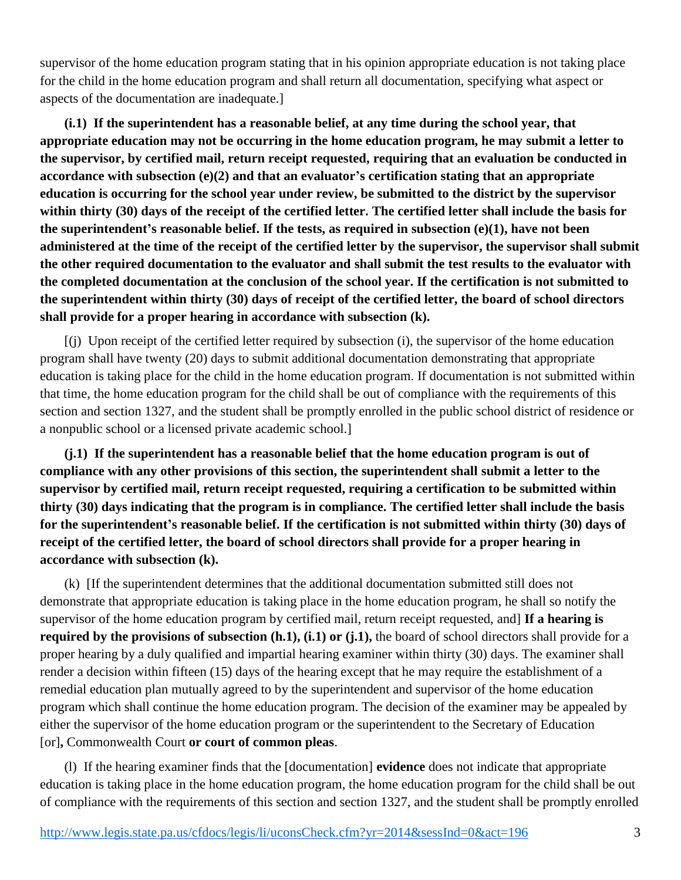supervisor of the home education program stating that in his opinion appropriate education is not taking place for the child in the home education program and shall return all documentation, specifying what aspect or aspects of the documentation are inadequate.]

**(i.1) If the superintendent has a reasonable belief, at any time during the school year, that appropriate education may not be occurring in the home education program, he may submit a letter to the supervisor, by certified mail, return receipt requested, requiring that an evaluation be conducted in accordance with subsection (e)(2) and that an evaluator's certification stating that an appropriate education is occurring for the school year under review, be submitted to the district by the supervisor within thirty (30) days of the receipt of the certified letter. The certified letter shall include the basis for the superintendent's reasonable belief. If the tests, as required in subsection (e)(1), have not been administered at the time of the receipt of the certified letter by the supervisor, the supervisor shall submit the other required documentation to the evaluator and shall submit the test results to the evaluator with the completed documentation at the conclusion of the school year. If the certification is not submitted to the superintendent within thirty (30) days of receipt of the certified letter, the board of school directors shall provide for a proper hearing in accordance with subsection (k).**

[(j) Upon receipt of the certified letter required by subsection (i), the supervisor of the home education program shall have twenty (20) days to submit additional documentation demonstrating that appropriate education is taking place for the child in the home education program. If documentation is not submitted within that time, the home education program for the child shall be out of compliance with the requirements of this section and section 1327, and the student shall be promptly enrolled in the public school district of residence or a nonpublic school or a licensed private academic school.]

**(j.1) If the superintendent has a reasonable belief that the home education program is out of compliance with any other provisions of this section, the superintendent shall submit a letter to the supervisor by certified mail, return receipt requested, requiring a certification to be submitted within thirty (30) days indicating that the program is in compliance. The certified letter shall include the basis for the superintendent's reasonable belief. If the certification is not submitted within thirty (30) days of receipt of the certified letter, the board of school directors shall provide for a proper hearing in accordance with subsection (k).**

(k) [If the superintendent determines that the additional documentation submitted still does not demonstrate that appropriate education is taking place in the home education program, he shall so notify the supervisor of the home education program by certified mail, return receipt requested, and] **If a hearing is required by the provisions of subsection (h.1), (i.1) or (j.1),** the board of school directors shall provide for a proper hearing by a duly qualified and impartial hearing examiner within thirty (30) days. The examiner shall render a decision within fifteen (15) days of the hearing except that he may require the establishment of a remedial education plan mutually agreed to by the superintendent and supervisor of the home education program which shall continue the home education program. The decision of the examiner may be appealed by either the supervisor of the home education program or the superintendent to the Secretary of Education [or]**,** Commonwealth Court **or court of common pleas**.

(l) If the hearing examiner finds that the [documentation] **evidence** does not indicate that appropriate education is taking place in the home education program, the home education program for the child shall be out of compliance with the requirements of this section and section 1327, and the student shall be promptly enrolled